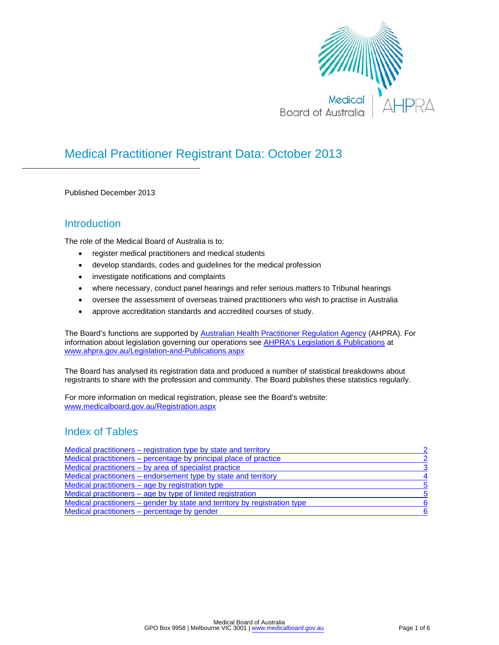

## Medical Practitioner Registrant Data: October 2013

Published December 2013

## **Introduction**

The role of the Medical Board of Australia is to:

- register medical practitioners and medical students
- develop standards, codes and guidelines for the medical profession
- investigate notifications and complaints
- where necessary, conduct panel hearings and refer serious matters to Tribunal hearings
- oversee the assessment of overseas trained practitioners who wish to practise in Australia
- approve accreditation standards and accredited courses of study.

The Board's functions are supported by **Australian Health Practitioner Regulation Agency** (AHPRA). For information about legislation governing our operations see [AHPRA's Legislation & Publications](http://www.ahpra.gov.au/Legislation-and-Publications.aspx) at www.ahpra.gov.au/Legislation-and-Publications.aspx

The Board has analysed its registration data and produced a number of statistical breakdowns about registrants to share with the profession and community. The Board publishes these statistics regularly.

For more information on medical registration, please see the Board's website: www.medicalboard.gov.au/Registration.aspx

## Index of Tables

| Medical practitioners – registration type by state and territory           | $\mathcal{P}$           |
|----------------------------------------------------------------------------|-------------------------|
| Medical practitioners – percentage by principal place of practice          | $\overline{2}$          |
| Medical practitioners – by area of specialist practice                     | 3                       |
| Medical practitioners – endorsement type by state and territory            | $\overline{\mathbf{4}}$ |
| Medical practitioners $-$ age by registration type                         | -5                      |
| Medical practitioners – age by type of limited registration                | -5                      |
| Medical practitioners – gender by state and territory by registration type | -6                      |
| Medical practitioners – percentage by gender                               | -6                      |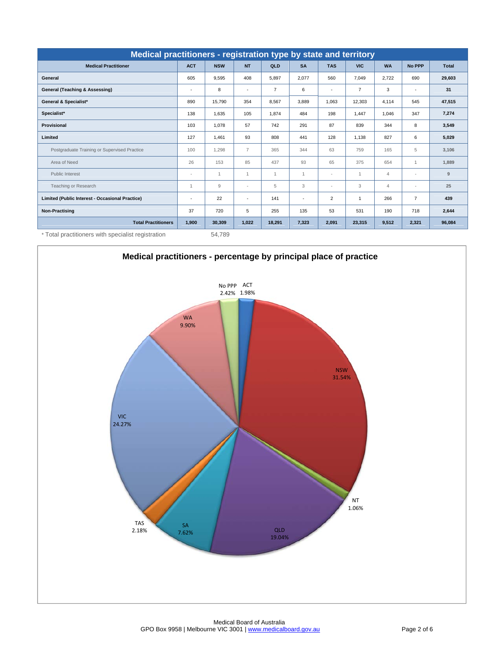<span id="page-1-0"></span>

| Medical practitioners - registration type by state and territory |                |                |                |                |              |                          |                |                |                          |              |
|------------------------------------------------------------------|----------------|----------------|----------------|----------------|--------------|--------------------------|----------------|----------------|--------------------------|--------------|
| <b>Medical Practitioner</b>                                      | <b>ACT</b>     | <b>NSW</b>     | <b>NT</b>      | <b>QLD</b>     | <b>SA</b>    | <b>TAS</b>               | <b>VIC</b>     | <b>WA</b>      | <b>No PPP</b>            | <b>Total</b> |
| General                                                          | 605            | 9.595          | 408            | 5.897          | 2.077        | 560                      | 7.049          | 2,722          | 690                      | 29,603       |
| <b>General (Teaching &amp; Assessing)</b>                        | ٠              | 8              | $\sim$         | $\overline{7}$ | 6            | $\overline{\phantom{a}}$ | $\overline{7}$ | 3              | $\sim$                   | 31           |
| General & Specialist*                                            | 890            | 15.790         | 354            | 8.567          | 3.889        | 1.063                    | 12.303         | 4.114          | 545                      | 47,515       |
| Specialist*                                                      | 138            | 1,635          | 105            | 1.874          | 484          | 198                      | 1.447          | 1,046          | 347                      | 7,274        |
| <b>Provisional</b>                                               | 103            | 1,078          | 57             | 742            | 291          | 87                       | 839            | 344            | 8                        | 3,549        |
| Limited                                                          | 127            | 1,461          | 93             | 808            | 441          | 128                      | 1.138          | 827            | 6                        | 5,029        |
| Postgraduate Training or Supervised Practice                     | 100            | 1.298          | $\overline{7}$ | 365            | 344          | 63                       | 759            | 165            | 5                        | 3,106        |
| Area of Need                                                     | 26             | 153            | 85             | 437            | 93           | 65                       | 375            | 654            | $\mathbf{1}$             | 1,889        |
| <b>Public Interest</b>                                           | $\sim$         | $\mathbf{1}$   | $\mathbf{1}$   | $\mathbf{1}$   | $\mathbf{1}$ | ×                        | $\overline{1}$ | $\overline{4}$ | $\overline{a}$           | 9            |
| Teaching or Research                                             | $\overline{1}$ | $\overline{9}$ | $\sim$         | 5              | 3            | $\sim$                   | 3              | $\overline{4}$ | $\overline{\phantom{a}}$ | 25           |
| Limited (Public Interest - Occasional Practice)                  | ٠              | 22             | $\sim$         | 141            | ٠            | $\overline{2}$           | $\mathbf{1}$   | 266            | $\overline{7}$           | 439          |
| <b>Non-Practising</b>                                            | 37             | 720            | 5              | 255            | 135          | 53                       | 531            | 190            | 718                      | 2,644        |
| <b>Total Practitioners</b>                                       | 1,900          | 30,309         | 1,022          | 18,291         | 7,323        | 2,091                    | 23,315         | 9,512          | 2,321                    | 96,084       |

\* Total practitioners with specialist registration 54,789

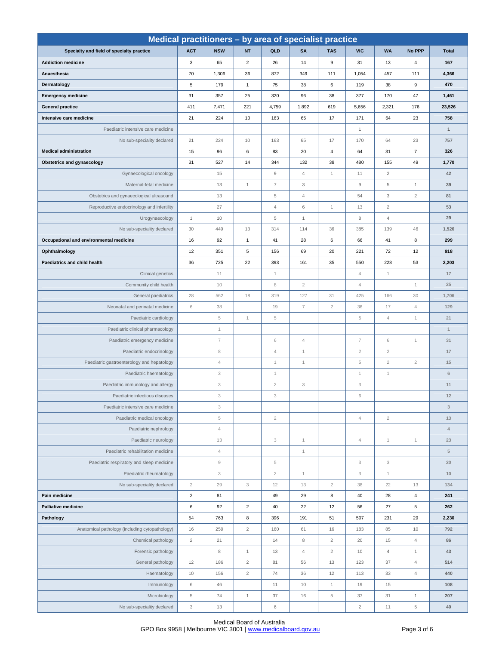<span id="page-2-0"></span>

| Medical practitioners - by area of specialist practice |                |                           |                |                        |                |                  |                           |                |                |                           |  |  |
|--------------------------------------------------------|----------------|---------------------------|----------------|------------------------|----------------|------------------|---------------------------|----------------|----------------|---------------------------|--|--|
| Specialty and field of specialty practice              | <b>ACT</b>     | <b>NSW</b>                | <b>NT</b>      | QLD                    | <b>SA</b>      | <b>TAS</b>       | <b>VIC</b>                | <b>WA</b>      | No PPP         | <b>Total</b>              |  |  |
| <b>Addiction medicine</b>                              | 3              | 65                        | $\overline{2}$ | 26                     | 14             | $\boldsymbol{9}$ | 31                        | 13             | $\overline{4}$ | 167                       |  |  |
| Anaesthesia                                            | 70             | 1,306                     | 36             | 872                    | 349            | 111              | 1,054                     | 457            | 111            | 4,366                     |  |  |
| Dermatology                                            | 5              | 179                       | $\mathbf{1}$   | 75                     | 38             | 6                | 119                       | 38             | 9              | 470                       |  |  |
| <b>Emergency medicine</b>                              | 31             | 357                       | 25             | 320                    | 96             | 38               | 377                       | 170            | 47             | 1,461                     |  |  |
| <b>General practice</b>                                | 411            | 7,471                     | 221            | 4,759                  | 1,892          | 619              | 5,656                     | 2,321          | 176            | 23,526                    |  |  |
| Intensive care medicine                                | 21             | 224                       | 10             | 163                    | 65             | 17               | 171                       | 64             | 23             | 758                       |  |  |
| Paediatric intensive care medicine                     |                |                           |                |                        |                |                  | $\mathbf{1}$              |                |                | $\mathbf{1}$              |  |  |
| No sub-speciality declared                             | 21             | 224                       | 10             | 163                    | 65             | 17               | 170                       | 64             | 23             | 757                       |  |  |
| <b>Medical administration</b>                          | 15             | 96                        | 6              | 83                     | 20             | $\overline{4}$   | 64                        | 31             | $\overline{7}$ | 326                       |  |  |
| <b>Obstetrics and gynaecology</b>                      | 31             | 527                       | 14             | 344                    | 132            | 38               | 480                       | 155            | 49             | 1,770                     |  |  |
| Gynaecological oncology                                |                | 15                        |                | $\mathrel{\mathsf{g}}$ | $\overline{4}$ | $\mathbf{1}$     | 11                        | $\overline{2}$ |                | 42                        |  |  |
| Maternal-fetal medicine                                |                | 13                        | $\mathbf{1}$   | $\overline{7}$         | 3              |                  | 9                         | 5              | $\mathbf{1}$   | 39                        |  |  |
| Obstetrics and gynaecological ultrasound               |                | 13                        |                | $\sqrt{5}$             | $\overline{4}$ |                  | 54                        | 3              | $\overline{c}$ | 81                        |  |  |
| Reproductive endocrinology and infertility             |                | 27                        |                | $\overline{4}$         | 6              | $\mathbf{1}$     | 13                        | $\overline{2}$ |                | 53                        |  |  |
| Urogynaecology                                         | $\mathbf{1}$   | 10                        |                | 5                      | $\mathbf{1}$   |                  | 8                         | $\overline{4}$ |                | 29                        |  |  |
| No sub-speciality declared                             | 30             | 449                       | 13             | 314                    | 114            | 36               | 385                       | 139            | 46             | 1,526                     |  |  |
| Occupational and environmental medicine                | 16             | 92                        | $\mathbf{1}$   | 41                     | 28             | 6                | 66                        | 41             | 8              | 299                       |  |  |
| Ophthalmology                                          | 12             | 351                       | 5              | 156                    | 69             | 20               | 221                       | 72             | 12             | 918                       |  |  |
| Paediatrics and child health                           | 36             | 725                       | 22             | 393                    | 161            | 35               | 550                       | 228            | 53             | 2,203                     |  |  |
| Clinical genetics                                      |                | 11                        |                | $\mathbf{1}$           |                |                  | $\overline{4}$            | $\mathbf{1}$   |                | 17                        |  |  |
| Community child health                                 |                | 10                        |                | 8                      | $\overline{2}$ |                  | 4                         |                | $\overline{1}$ | 25                        |  |  |
| General paediatrics                                    | 28             | 562                       | 18             | 319                    | 127            | 31               | 425                       | 166            | 30             | 1,706                     |  |  |
| Neonatal and perinatal medicine                        | 6              | 38                        |                | 19                     | $\overline{7}$ | $\overline{2}$   | 36                        | 17             | $\overline{4}$ | 129                       |  |  |
| Paediatric cardiology                                  |                | $\,$ 5                    | $\mathbf{1}$   | $\sqrt{5}$             |                |                  | 5                         | $\sqrt{4}$     | 1              | 21                        |  |  |
| Paediatric clinical pharmacology                       |                | $\mathbf 1$               |                |                        |                |                  |                           |                |                | $\mathbf{1}$              |  |  |
| Paediatric emergency medicine                          |                | $\overline{7}$            |                | $\,$ 6                 | $\overline{4}$ |                  | $\overline{7}$            | $\,$ 6         | $\mathbf{1}$   | 31                        |  |  |
| Paediatric endocrinology                               |                | $\,$ 8 $\,$               |                | $\sqrt{4}$             | $\mathbf{1}$   |                  | $\overline{c}$            | $\sqrt{2}$     |                | $17$                      |  |  |
| Paediatric gastroenterology and hepatology             |                | $\sqrt{4}$                |                | $\mathbf{1}$           | $\mathbf{1}$   |                  | 5                         | $\overline{2}$ | $\overline{2}$ | 15                        |  |  |
| Paediatric haematology                                 |                | 3                         |                | $\mathbf{1}$           |                |                  | 1                         | 1              |                | $\,$ 6                    |  |  |
| Paediatric immunology and allergy                      |                | $_{\rm 3}$                |                | $\sqrt{2}$             | 3              |                  | 3                         |                |                | 11                        |  |  |
| Paediatric infectious diseases                         |                | 3                         |                | 3                      |                |                  | 6                         |                |                | 12                        |  |  |
| Paediatric intensive care medicine                     |                | $\ensuremath{\mathsf{3}}$ |                |                        |                |                  |                           |                |                | $\ensuremath{\mathsf{3}}$ |  |  |
| Paediatric medical oncology                            |                | $\,$ 5                    |                | $\overline{c}$         |                |                  | $\overline{4}$            | $\overline{2}$ |                | 13                        |  |  |
| Paediatric nephrology                                  |                | $\sqrt{4}$                |                |                        |                |                  |                           |                |                | $\ensuremath{\mathsf{d}}$ |  |  |
| Paediatric neurology                                   |                | 13                        |                | 3                      | $\mathbf{1}$   |                  | $\overline{4}$            | $\mathbf{1}$   | $\mathbf{1}$   | 23                        |  |  |
| Paediatric rehabilitation medicine                     |                | $\sqrt{4}$                |                |                        | $\mathbf{1}$   |                  |                           |                |                | $\,$ 5 $\,$               |  |  |
| Paediatric respiratory and sleep medicine              |                | $\mathrel{\mathcal{G}}$   |                | $\,$ 5 $\,$            |                |                  | 3                         | 3              |                | 20                        |  |  |
| Paediatric rheumatology                                |                | $\ensuremath{\mathsf{3}}$ |                | $\overline{2}$         | $\mathbf{1}$   |                  | $\ensuremath{\mathsf{3}}$ | $\mathbf{1}$   |                | 10                        |  |  |
| No sub-speciality declared                             | $\sqrt{2}$     | 29                        | $_{3}$         | 12                     | 13             | $\sqrt{2}$       | 38                        | 22             | 13             | 134                       |  |  |
| Pain medicine                                          | $\overline{2}$ | 81                        |                | 49                     | 29             | 8                | 40                        | 28             | $\overline{4}$ | 241                       |  |  |
| <b>Palliative medicine</b>                             | $\,6\,$        | 92                        | $\sqrt{2}$     | 40                     | 22             | 12               | 56                        | 27             | $\,$ 5 $\,$    | 262                       |  |  |
| Pathology                                              | 54             | 763                       | 8              | 396                    | 191            | 51               | 507                       | 231            | 29             | 2,230                     |  |  |
| Anatomical pathology (including cytopathology)         | 16             | 259                       | $\overline{c}$ | 160                    | 61             | 16               | 183                       | 85             | 10             | 792                       |  |  |
| Chemical pathology                                     | $\overline{2}$ | 21                        |                | 14                     | 8              | $\overline{2}$   | 20                        | 15             | $\overline{4}$ | 86                        |  |  |
| Forensic pathology                                     |                | $\,$ 8 $\,$               | $\mathbf{1}$   | 13                     | $\overline{4}$ | $\overline{2}$   | 10                        | $\overline{4}$ | $\mathbf{1}$   | 43                        |  |  |
| General pathology                                      | 12             | 186                       | $\overline{2}$ | 81                     | 56             | 13               | 123                       | 37             | $\overline{4}$ | 514                       |  |  |
| Haematology                                            | 10             | 156                       | $\overline{2}$ | 74                     | 36             | 12               | 113                       | 33             | $\overline{4}$ | 440                       |  |  |
| Immunology                                             | 6              | 46                        |                | 11                     | 10             | $\mathbf{1}$     | 19                        | 15             |                | 108                       |  |  |
| Microbiology                                           | $\,$ 5 $\,$    | 74                        | $\mathbf{1}$   | 37                     | 16             | $\,$ 5 $\,$      | $37\,$                    | 31             | $\mathbf{1}$   | 207                       |  |  |
| No sub-speciality declared                             | $_{3}$         | 13                        |                | $\,6\,$                |                |                  | $\overline{2}$            | 11             | 5              | 40                        |  |  |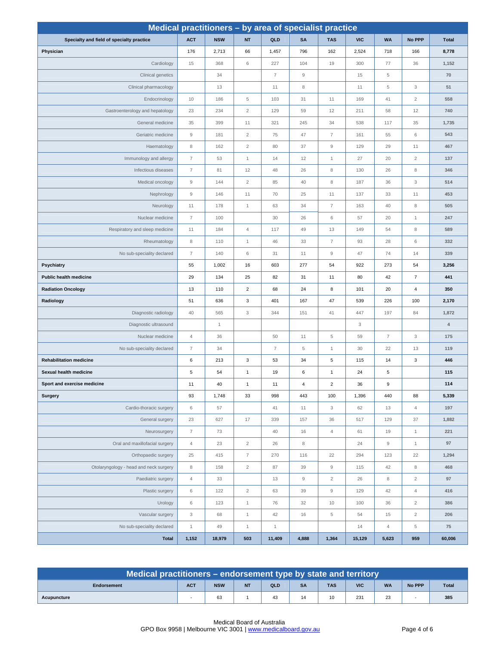<span id="page-3-0"></span>

|                                           | Medical practitioners - by area of specialist practice |              |                  |                          |                    |                           |            |                |                |                |  |  |
|-------------------------------------------|--------------------------------------------------------|--------------|------------------|--------------------------|--------------------|---------------------------|------------|----------------|----------------|----------------|--|--|
| Specialty and field of specialty practice | <b>ACT</b>                                             | <b>NSW</b>   | <b>NT</b>        | QLD                      | <b>SA</b>          | <b>TAS</b>                | <b>VIC</b> | <b>WA</b>      | No PPP         | <b>Total</b>   |  |  |
| Physician                                 | 176                                                    | 2,713        | 66               | 1,457                    | 796                | 162                       | 2,524      | 718            | 166            | 8,778          |  |  |
| Cardiology                                | 15                                                     | 368          | 6                | 227                      | 104                | 19                        | 300        | 77             | 36             | 1,152          |  |  |
| Clinical genetics                         |                                                        | 34           |                  | $\overline{7}$           | $\mathsf g$        |                           | 15         | $\,$ 5 $\,$    |                | $70$           |  |  |
| Clinical pharmacology                     |                                                        | 13           |                  | 11                       | $\,8\,$            |                           | 11         | $\,$ 5 $\,$    | 3              | 51             |  |  |
| Endocrinology                             | 10                                                     | 186          | 5                | 103                      | 31                 | 11                        | 169        | 41             | $\overline{2}$ | 558            |  |  |
| Gastroenterology and hepatology           | 23                                                     | 234          | $\overline{2}$   | 129                      | 59                 | 12                        | 211        | 58             | 12             | 740            |  |  |
| General medicine                          | 35                                                     | 399          | 11               | 321                      | 245                | 34                        | 538        | 117            | 35             | 1,735          |  |  |
| Geriatric medicine                        | $\mathsf g$                                            | 181          | $\overline{2}$   | 75                       | 47                 | $\overline{7}$            | 161        | 55             | 6              | 543            |  |  |
| Haematology                               | 8                                                      | 162          | $\overline{2}$   | 80                       | 37                 | $\mathsf 9$               | 129        | 29             | 11             | 467            |  |  |
| Immunology and allergy                    | $\overline{7}$                                         | 53           | $\mathbf{1}$     | 14                       | 12                 | $\mathbf{1}$              | 27         | 20             | $\overline{2}$ | 137            |  |  |
| Infectious diseases                       | $\boldsymbol{7}$                                       | 81           | 12               | 48                       | 26                 | $\,8\,$                   | 130        | 26             | $\,8\,$        | 346            |  |  |
| Medical oncology                          | $\mathsf g$                                            | 144          | $\overline{c}$   | 85                       | 40                 | $\,8\,$                   | 187        | 36             | 3              | 514            |  |  |
| Nephrology                                | $\mathsf g$                                            | 146          | 11               | 70                       | 25                 | 11                        | 137        | 33             | 11             | 453            |  |  |
| Neurology                                 | 11                                                     | 178          | $\mathbf{1}$     | 63                       | 34                 | $\overline{7}$            | 163        | 40             | $\,$ 8 $\,$    | 505            |  |  |
| Nuclear medicine                          | $\overline{7}$                                         | 100          |                  | 30                       | 26                 | 6                         | 57         | 20             | $\mathbf{1}$   | 247            |  |  |
| Respiratory and sleep medicine            | 11                                                     | 184          | $\overline{4}$   | 117                      | 49                 | 13                        | 149        | 54             | $\,8\,$        | 589            |  |  |
| Rheumatology                              | 8                                                      | 110          | $\mathbf{1}$     | 46                       | 33                 | $\overline{7}$            | 93         | 28             | 6              | 332            |  |  |
| No sub-speciality declared                | $\overline{7}$                                         | 140          | 6                | 31                       | 11                 | $\mathsf g$               | 47         | 74             | 14             | 339            |  |  |
| <b>Psychiatry</b>                         | 55                                                     | 1,002        | 16               | 603                      | 277                | 54                        | 922        | 273            | 54             | 3,256          |  |  |
| Public health medicine                    | 29                                                     | 134          | 25               | 82                       | 31                 | 11                        | 80         | 42             | $\overline{7}$ | 441            |  |  |
| <b>Radiation Oncology</b>                 | 13                                                     | 110          | $\overline{2}$   | 68                       | 24                 | 8                         | 101        | 20             | $\overline{4}$ | 350            |  |  |
| Radiology                                 | 51                                                     | 636          | 3                | 401                      | 167                | 47                        | 539        | 226            | 100            | 2,170          |  |  |
| Diagnostic radiology                      | 40                                                     | 565          | 3                | 344                      | 151                | 41                        | 447        | 197            | 84             | 1,872          |  |  |
| Diagnostic ultrasound                     |                                                        | $\mathbf{1}$ |                  |                          |                    |                           | $_{\rm 3}$ |                |                | $\overline{4}$ |  |  |
| Nuclear medicine                          | $\overline{4}$                                         | 36           |                  | 50                       | 11                 | $\,$ 5 $\,$               | 59         | $\overline{7}$ | $_{3}$         | 175            |  |  |
| No sub-speciality declared                | $\overline{7}$                                         | 34           |                  | $\overline{\mathcal{I}}$ | $\,$ 5 $\,$        | $\mathbf{1}$              | 30         | 22             | 13             | 119            |  |  |
| <b>Rehabilitation medicine</b>            | 6                                                      | 213          | $\mathbf{3}$     | 53                       | 34                 | $\overline{5}$            | 115        | 14             | 3              | 446            |  |  |
| Sexual health medicine                    | 5                                                      | 54           | $\mathbf{1}$     | 19                       | 6                  | $\mathbf{1}$              | 24         | 5              |                | 115            |  |  |
| Sport and exercise medicine               | 11                                                     | 40           | $\mathbf{1}$     | 11                       | $\overline{4}$     | $\mathbf 2$               | 36         | 9              |                | 114            |  |  |
| <b>Surgery</b>                            | 93                                                     | 1,748        | 33               | 998                      | 443                | 100                       | 1,396      | 440            | 88             | 5,339          |  |  |
| Cardio-thoracic surgery                   | $\,6\,$                                                | 57           |                  | 41                       | 11                 | $\ensuremath{\mathsf{3}}$ | 62         | 13             | $\overline{4}$ | 197            |  |  |
| General surgery                           | 23                                                     | 627          | 17               | 339                      | 157                | 36                        | 517        | 129            | 37             | 1,882          |  |  |
| Neurosurgery                              | $\boldsymbol{7}$                                       | $73\,$       |                  | $40\,$                   | 16                 | $\overline{4}$            | 61         | 19             | $\mathbf{1}$   | 221            |  |  |
| Oral and maxillofacial surgery            | $\overline{4}$                                         | 23           | $\overline{2}$   | $26\,$                   | $\,8\,$            |                           | 24         | $\hbox{g}$     | $\mathbf{1}$   | 97             |  |  |
| Orthopaedic surgery                       | 25                                                     | 415          | $\boldsymbol{7}$ | 270                      | 116                | 22                        | 294        | 123            | 22             | 1,294          |  |  |
| Otolaryngology - head and neck surgery    | $\,$ 8 $\,$                                            | 158          | $\overline{2}$   | 87                       | 39                 | $\mathsf g$               | 115        | 42             | $\,8\,$        | 468            |  |  |
| Paediatric surgery                        | $\overline{4}$                                         | 33           |                  | 13                       | $\hbox{ }^{\rm 9}$ | $\sqrt{2}$                | 26         | 8              | $\sqrt{2}$     | 97             |  |  |
| Plastic surgery                           | $\,6\,$                                                | 122          | $\overline{2}$   | 63                       | 39                 | $\mathsf 9$               | 129        | 42             | $\sqrt{4}$     | 416            |  |  |
| Urology                                   | $6\,$                                                  | 123          | $\mathbf{1}$     | 76                       | 32                 | 10                        | 100        | 36             | $\overline{c}$ | 386            |  |  |
| Vascular surgery                          | $_{3}$                                                 | 68           | $\mathbf{1}$     | 42                       | 16                 | $\,$ 5 $\,$               | 54         | 15             | $\sqrt{2}$     | 206            |  |  |
| No sub-speciality declared                | $\mathbf{1}$                                           | 49           | $\overline{1}$   | $\mathbf{1}$             |                    |                           | 14         | $\overline{4}$ | $\,$ 5 $\,$    | 75             |  |  |
| <b>Total</b>                              | 1,152                                                  | 18,979       | 503              | 11,409                   | 4,888              | 1,364                     | 15,129     | 5,623          | 959            | 60,006         |  |  |

| Medical practitioners – endorsement type by state and territory |            |            |           |     |           |            |            |           |               |              |  |  |
|-----------------------------------------------------------------|------------|------------|-----------|-----|-----------|------------|------------|-----------|---------------|--------------|--|--|
| Endorsement                                                     | <b>ACT</b> | <b>NSW</b> | <b>NT</b> | QLD | <b>SA</b> | <b>TAS</b> | <b>VIC</b> | <b>WA</b> | <b>No PPP</b> | <b>Total</b> |  |  |
| Acupuncture                                                     |            | 63         |           | 43  |           |            | 231        | ົ<br>دے   |               | 385          |  |  |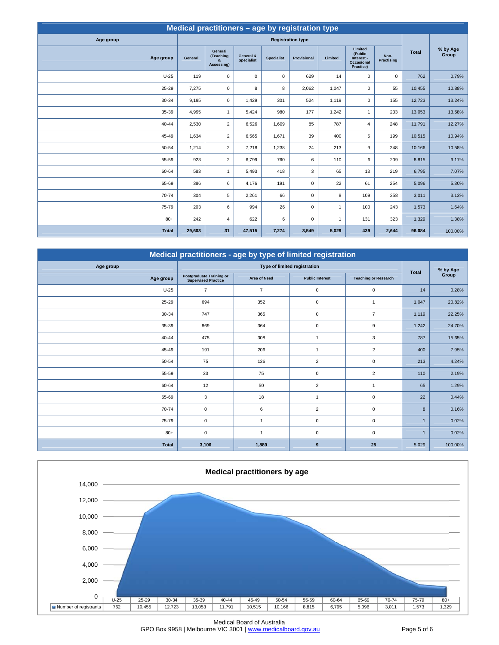<span id="page-4-0"></span>

| Medical practitioners - age by registration type |         |                                         |                                |                   |                          |              |                                                             |                    |              |                   |  |  |
|--------------------------------------------------|---------|-----------------------------------------|--------------------------------|-------------------|--------------------------|--------------|-------------------------------------------------------------|--------------------|--------------|-------------------|--|--|
| Age group                                        |         |                                         |                                |                   | <b>Registration type</b> |              |                                                             |                    |              |                   |  |  |
| Age group                                        | General | General<br>(Teaching<br>&<br>Assessing) | General &<br><b>Specialist</b> | <b>Specialist</b> | Provisional              | Limited      | Limited<br>(Public<br>Interest -<br>Occasional<br>Practice) | Non-<br>Practising | <b>Total</b> | % by Age<br>Group |  |  |
| $U-25$                                           | 119     | $\mathbf 0$                             | 0                              | $\mathbf 0$       | 629                      | 14           | $\mathbf 0$                                                 | $\mathbf 0$        | 762          | 0.79%             |  |  |
| 25-29                                            | 7,275   | $\mathbf 0$                             | 8                              | 8                 | 2,062                    | 1,047        | $\pmb{0}$                                                   | 55                 | 10,455       | 10.88%            |  |  |
| 30-34                                            | 9,195   | $\mathsf 0$                             | 1,429                          | 301               | 524                      | 1,119        | $\mathbf 0$                                                 | 155                | 12,723       | 13.24%            |  |  |
| 35-39                                            | 4,995   | $\mathbf{1}$                            | 5,424                          | 980               | 177                      | 1,242        | $\mathbf{1}$                                                | 233                | 13,053       | 13.58%            |  |  |
| $40 - 44$                                        | 2,530   | $\overline{2}$                          | 6,526                          | 1,609             | 85                       | 787          | $\overline{4}$                                              | 248                | 11,791       | 12.27%            |  |  |
| 45-49                                            | 1,634   | $\overline{2}$                          | 6,565                          | 1,671             | 39                       | 400          | 5                                                           | 199                | 10,515       | 10.94%            |  |  |
| 50-54                                            | 1,214   | $\overline{2}$                          | 7,218                          | 1,238             | 24                       | 213          | $\boldsymbol{9}$                                            | 248                | 10,166       | 10.58%            |  |  |
| 55-59                                            | 923     | $\overline{2}$                          | 6,799                          | 760               | 6                        | 110          | 6                                                           | 209                | 8,815        | 9.17%             |  |  |
| 60-64                                            | 583     | $\mathbf{1}$                            | 5,493                          | 418               | 3                        | 65           | 13                                                          | 219                | 6,795        | 7.07%             |  |  |
| 65-69                                            | 386     | 6                                       | 4,176                          | 191               | 0                        | 22           | 61                                                          | 254                | 5,096        | 5.30%             |  |  |
| 70-74                                            | 304     | 5                                       | 2,261                          | 66                | 0                        | 8            | 109                                                         | 258                | 3,011        | 3.13%             |  |  |
| 75-79                                            | 203     | 6                                       | 994                            | 26                | 0                        | $\mathbf{1}$ | 100                                                         | 243                | 1,573        | 1.64%             |  |  |
| $80+$                                            | 242     | $\overline{4}$                          | 622                            | 6                 | 0                        | $\mathbf{1}$ | 131                                                         | 323                | 1,329        | 1.38%             |  |  |
| <b>Total</b>                                     | 29,603  | 31                                      | 47,515                         | 7,274             | 3,549                    | 5,029        | 439                                                         | 2,644              | 96,084       | 100.00%           |  |  |

| Medical practitioners - age by type of limited registration |                                                               |                     |                              |                             |              |          |  |  |  |  |  |  |
|-------------------------------------------------------------|---------------------------------------------------------------|---------------------|------------------------------|-----------------------------|--------------|----------|--|--|--|--|--|--|
| Age group                                                   |                                                               |                     | Type of limited registration |                             | <b>Total</b> | % by Age |  |  |  |  |  |  |
| Age group                                                   | <b>Postgraduate Training or</b><br><b>Supervised Practice</b> | <b>Area of Need</b> | <b>Public Interest</b>       | <b>Teaching or Research</b> |              | Group    |  |  |  |  |  |  |
| $U-25$                                                      | $\overline{7}$                                                | $\overline{7}$      | $\mathsf 0$                  | $\mathbf 0$                 | 14           | 0.28%    |  |  |  |  |  |  |
| 25-29                                                       | 694                                                           | 352                 | $\mathsf 0$                  | $\overline{1}$              | 1,047        | 20.82%   |  |  |  |  |  |  |
| 30-34                                                       | 747                                                           | 365                 | $\mathbf 0$                  | $\overline{7}$              | 1,119        | 22.25%   |  |  |  |  |  |  |
| 35-39                                                       | 869                                                           | 364                 | $\mathsf 0$                  | 9                           | 1,242        | 24.70%   |  |  |  |  |  |  |
| 40-44                                                       | 475                                                           | 308                 | $\overline{1}$               | 3                           | 787          | 15.65%   |  |  |  |  |  |  |
| 45-49                                                       | 191                                                           | 206                 | $\mathbf{1}$                 | $\overline{2}$              | 400          | 7.95%    |  |  |  |  |  |  |
| 50-54                                                       | 75                                                            | 136                 | $\overline{2}$               | $\mathbf 0$                 | 213          | 4.24%    |  |  |  |  |  |  |
| 55-59                                                       | 33                                                            | 75                  | $\mathbf 0$                  | $\overline{2}$              | 110          | 2.19%    |  |  |  |  |  |  |
| 60-64                                                       | 12                                                            | 50                  | $\overline{2}$               | $\overline{1}$              | 65           | 1.29%    |  |  |  |  |  |  |
| 65-69                                                       | 3                                                             | 18                  | $\overline{1}$               | $\mathbf 0$                 | 22           | 0.44%    |  |  |  |  |  |  |
| 70-74                                                       | 0                                                             | 6                   | $\overline{c}$               | $\mathbf 0$                 | 8            | 0.16%    |  |  |  |  |  |  |
| 75-79                                                       | 0                                                             | 1                   | $\mathsf 0$                  | $\mathbf 0$                 | $\mathbf 1$  | 0.02%    |  |  |  |  |  |  |
| $80+$                                                       | 0                                                             | 1                   | $\mathbf 0$                  | $\mathbf 0$                 | $\mathbf{1}$ | 0.02%    |  |  |  |  |  |  |
| <b>Total</b>                                                | 3,106                                                         | 1,889               | 9                            | 25                          | 5,029        | 100.00%  |  |  |  |  |  |  |